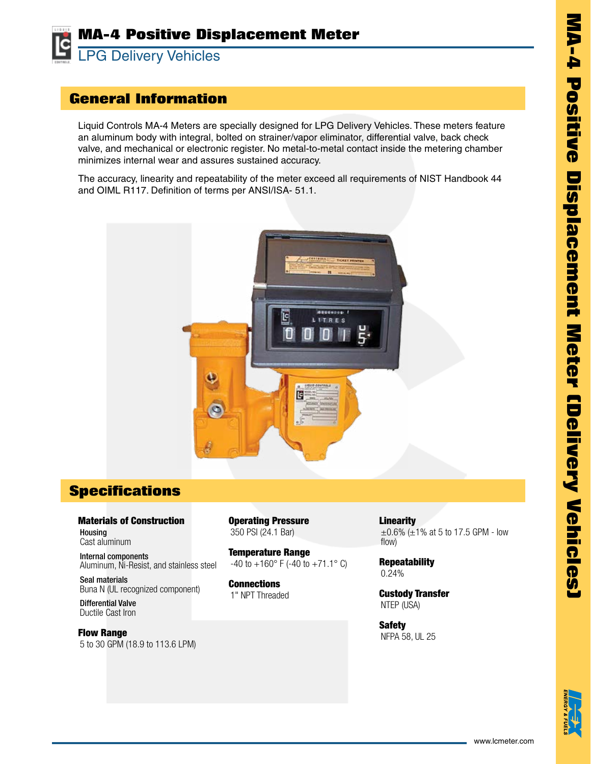

## **General Information**

Liquid Controls MA-4 Meters are specially designed for LPG Delivery Vehicles. These meters feature an aluminum body with integral, bolted on strainer/vapor eliminator, differential valve, back check valve, and mechanical or electronic register. No metal-to-metal contact inside the metering chamber minimizes internal wear and assures sustained accuracy.

The accuracy, linearity and repeatability of the meter exceed all requirements of NIST Handbook 44 and OIML R117. Definition of terms per ANSI/ISA- 51.1.



## **Specifications**

Materials of Construction Housing Cast aluminum

Internal components Aluminum, Ni-Resist, and stainless steel

Seal materials Buna N (UL recognized component)

Differential Valve Ductile Cast Iron

Flow Range 5 to 30 GPM (18.9 to 113.6 LPM) Operating Pressure 350 PSI (24.1 Bar)

Temperature Range  $-40$  to  $+160$ ° F ( $-40$  to  $+71.1$ ° C)

**Connections** 1" NPT Threaded **Linearity**  $\pm 0.6$ % ( $\pm 1$ % at 5 to 17.5 GPM - low flow)

**Repeatability** 0.24%

Custody Transfer NTEP (USA)

Safety NFPA 58, UL 25